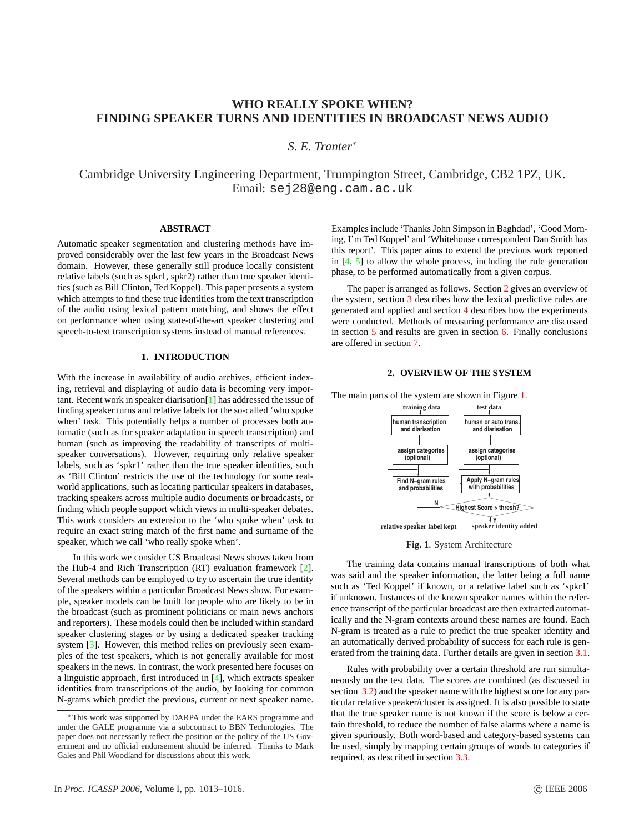# **WHO REALLY SPOKE WHEN? FINDING SPEAKER TURNS AND IDENTITIES IN BROADCAST NEWS AUDIO**

*S. E. Tranter*<sup>∗</sup>

Cambridge University Engineering Department, Trumpington Street, Cambridge, CB2 1PZ, UK. Email: sej28@eng.cam.ac.uk

# **ABSTRACT**

Automatic speaker segmentation and clustering methods have improved considerably over the last few years in the Broadcast News domain. However, these generally still produce locally consistent relative labels (such as spkr1, spkr2) rather than true speaker identities (such as Bill Clinton, Ted Koppel). This paper presents a system which attempts to find these true identities from the text transcription of the audio using lexical pattern matching, and shows the effect on performance when using state-of-the-art speaker clustering and speech-to-text transcription systems instead of manual references.

### **1. INTRODUCTION**

With the increase in availability of audio archives, efficient indexing, retrieval and displaying of audio data is becoming very important. Recent work in speaker diarisation[\[1\]](#page-3-0) has addressed the issue of finding speaker turns and relative labels for the so-called 'who spoke when' task. This potentially helps a number of processes both automatic (such as for speaker adaptation in speech transcription) and human (such as improving the readability of transcripts of multispeaker conversations). However, requiring only relative speaker labels, such as 'spkr1' rather than the true speaker identities, such as 'Bill Clinton' restricts the use of the technology for some realworld applications, such as locating particular speakers in databases, tracking speakers across multiple audio documents or broadcasts, or finding which people support which views in multi-speaker debates. This work considers an extension to the 'who spoke when' task to require an exact string match of the first name and surname of the speaker, which we call 'who really spoke when'.

In this work we consider US Broadcast News shows taken from the Hub-4 and Rich Transcription (RT) evaluation framework [\[2\]](#page-3-0). Several methods can be employed to try to ascertain the true identity of the speakers within a particular Broadcast News show. For example, speaker models can be built for people who are likely to be in the broadcast (such as prominent politicians or main news anchors and reporters). These models could then be included within standard speaker clustering stages or by using a dedicated speaker tracking system [\[3\]](#page-3-0). However, this method relies on previously seen examples of the test speakers, which is not generally available for most speakers in the news. In contrast, the work presented here focuses on a linguistic approach, first introduced in [\[4\]](#page-3-0), which extracts speaker identities from transcriptions of the audio, by looking for common N-grams which predict the previous, current or next speaker name.

Examples include 'Thanks John Simpson in Baghdad', 'Good Morning, I'm Ted Koppel' and 'Whitehouse correspondent Dan Smith has this report'. This paper aims to extend the previous work reported in  $[4, 5]$  $[4, 5]$  to allow the whole process, including the rule generation phase, to be performed automatically from a given corpus.

The paper is arranged as follows. Section 2 gives an overview of the system, section [3](#page-1-0) describes how the lexical predictive rules are generated and applied and section [4](#page-2-0) describes how the experiments were conducted. Methods of measuring performance are discussed in section [5](#page-2-0) and results are given in section [6.](#page-3-0) Finally conclusions are offered in section [7.](#page-3-0)

# **2. OVERVIEW OF THE SYSTEM**



The main parts of the system are shown in Figure 1.

**Fig. 1**. System Architecture

The training data contains manual transcriptions of both what was said and the speaker information, the latter being a full name such as 'Ted Koppel' if known, or a relative label such as 'spkr1' if unknown. Instances of the known speaker names within the reference transcript of the particular broadcast are then extracted automatically and the N-gram contexts around these names are found. Each N-gram is treated as a rule to predict the true speaker identity and an automatically derived probability of success for each rule is generated from the training data. Further details are given in section [3.1](#page-1-0).

Rules with probability over a certain threshold are run simultaneously on the test data. The scores are combined (as discussed in section [3.2\)](#page-1-0) and the speaker name with the highest score for any particular relative speaker/cluster is assigned. It is also possible to state that the true speaker name is not known if the score is below a certain threshold, to reduce the number of false alarms where a name is given spuriously. Both word-based and category-based systems can be used, simply by mapping certain groups of words to categories if required, as described in section [3.3.](#page-1-0)

<sup>∗</sup>This work was supported by DARPA under the EARS programme and under the GALE programme via a subcontract to BBN Technologies. The paper does not necessarily reflect the position or the policy of the US Government and no official endorsement should be inferred. Thanks to Mark Gales and Phil Woodland for discussions about this work.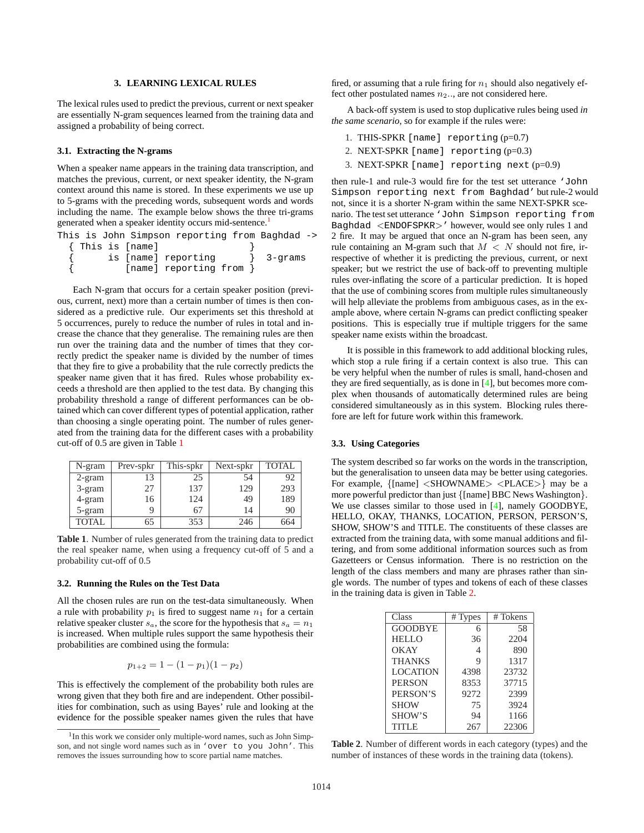### **3. LEARNING LEXICAL RULES**

<span id="page-1-0"></span>The lexical rules used to predict the previous, current or next speaker are essentially N-gram sequences learned from the training data and assigned a probability of being correct.

# **3.1. Extracting the N-grams**

When a speaker name appears in the training data transcription, and matches the previous, current, or next speaker identity, the N-gram context around this name is stored. In these experiments we use up to 5-grams with the preceding words, subsequent words and words including the name. The example below shows the three tri-grams generated when a speaker identity occurs mid-sentence.<sup>1</sup>

| This is John Simpson reporting from Baghdad -> |                       |  |         |  |
|------------------------------------------------|-----------------------|--|---------|--|
| { This is [name]                               |                       |  |         |  |
|                                                | is [name] reporting   |  | 3-grams |  |
|                                                | [name] reporting from |  |         |  |

Each N-gram that occurs for a certain speaker position (previous, current, next) more than a certain number of times is then considered as a predictive rule. Our experiments set this threshold at 5 occurrences, purely to reduce the number of rules in total and increase the chance that they generalise. The remaining rules are then run over the training data and the number of times that they correctly predict the speaker name is divided by the number of times that they fire to give a probability that the rule correctly predicts the speaker name given that it has fired. Rules whose probability exceeds a threshold are then applied to the test data. By changing this probability threshold a range of different performances can be obtained which can cover different types of potential application, rather than choosing a single operating point. The number of rules generated from the training data for the different cases with a probability cut-off of 0.5 are given in Table 1

| N-gram       | Prev-spkr | This-spkr | Next-spkr | <b>TOTAL</b> |
|--------------|-----------|-----------|-----------|--------------|
| $2$ -gram    | 13        | 25        | 54        | 92           |
| 3-gram       | 27        | 137       | 129       | 293          |
| 4-gram       | 16        | 124       | 49        | 189          |
| 5-gram       | q         | 67        | 14        | 90           |
| <b>TOTAL</b> | 65        | 353       | 246       | 664          |

**Table 1**. Number of rules generated from the training data to predict the real speaker name, when using a frequency cut-off of 5 and a probability cut-off of 0.5

# **3.2. Running the Rules on the Test Data**

All the chosen rules are run on the test-data simultaneously. When a rule with probability  $p_1$  is fired to suggest name  $n_1$  for a certain relative speaker cluster  $s_a$ , the score for the hypothesis that  $s_a = n_1$ is increased. When multiple rules support the same hypothesis their probabilities are combined using the formula:

$$
p_{1+2} = 1 - (1 - p_1)(1 - p_2)
$$

This is effectively the complement of the probability both rules are wrong given that they both fire and are independent. Other possibilities for combination, such as using Bayes' rule and looking at the evidence for the possible speaker names given the rules that have fired, or assuming that a rule firing for  $n_1$  should also negatively effect other postulated names  $n_2$ .., are not considered here.

A back-off system is used to stop duplicative rules being used *in the same scenario*, so for example if the rules were:

- 1. THIS-SPKR [name] reporting (p=0.7)
- 2. NEXT-SPKR [name] reporting (p=0.3)
- 3. NEXT-SPKR [name] reporting next (p=0.9)

then rule-1 and rule-3 would fire for the test set utterance 'John Simpson reporting next from Baghdad' but rule-2 would not, since it is a shorter N-gram within the same NEXT-SPKR scenario. The test set utterance 'John Simpson reporting from Baghdad <ENDOFSPKR>' however, would see only rules 1 and 2 fire. It may be argued that once an N-gram has been seen, any rule containing an M-gram such that  $M < N$  should not fire, irrespective of whether it is predicting the previous, current, or next speaker; but we restrict the use of back-off to preventing multiple rules over-inflating the score of a particular prediction. It is hoped that the use of combining scores from multiple rules simultaneously will help alleviate the problems from ambiguous cases, as in the example above, where certain N-grams can predict conflicting speaker positions. This is especially true if multiple triggers for the same speaker name exists within the broadcast.

It is possible in this framework to add additional blocking rules, which stop a rule firing if a certain context is also true. This can be very helpful when the number of rules is small, hand-chosen and they are fired sequentially, as is done in [\[4\]](#page-3-0), but becomes more complex when thousands of automatically determined rules are being considered simultaneously as in this system. Blocking rules therefore are left for future work within this framework.

### **3.3. Using Categories**

The system described so far works on the words in the transcription, but the generalisation to unseen data may be better using categories. For example, {[name] <SHOWNAME> <PLACE>} may be a more powerful predictor than just {[name] BBC News Washington}. We use classes similar to those used in [\[4\]](#page-3-0), namely GOODBYE, HELLO, OKAY, THANKS, LOCATION, PERSON, PERSON'S, SHOW, SHOW'S and TITLE. The constituents of these classes are extracted from the training data, with some manual additions and filtering, and from some additional information sources such as from Gazetteers or Census information. There is no restriction on the length of the class members and many are phrases rather than single words. The number of types and tokens of each of these classes in the training data is given in Table 2.

| Class           | # Types | #Tokens |
|-----------------|---------|---------|
| <b>GOODBYE</b>  | 6       | 58      |
| <b>HELLO</b>    | 36      | 2204    |
| OKAY            | 4       | 890     |
| <b>THANKS</b>   | 9       | 1317    |
| <b>LOCATION</b> | 4398    | 23732   |
| <b>PERSON</b>   | 8353    | 37715   |
| PERSON'S        | 9272    | 2399    |
| <b>SHOW</b>     | 75      | 3924    |
| SHOW'S          | 94      | 1166    |
| <b>TITLE</b>    | 267     | 22306   |

**Table 2**. Number of different words in each category (types) and the number of instances of these words in the training data (tokens).

<sup>&</sup>lt;sup>1</sup>In this work we consider only multiple-word names, such as John Simpson, and not single word names such as in 'over to you John'. This removes the issues surrounding how to score partial name matches.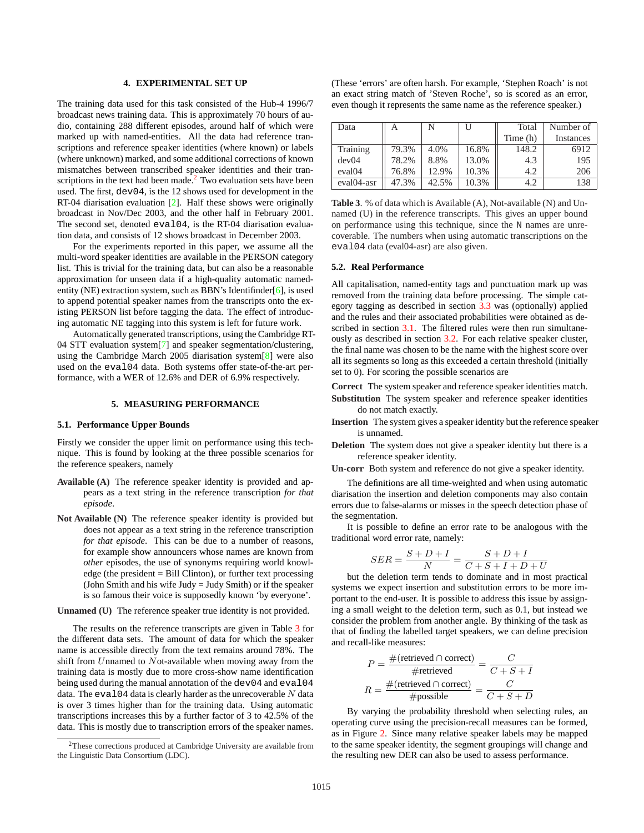#### **4. EXPERIMENTAL SET UP**

<span id="page-2-0"></span>The training data used for this task consisted of the Hub-4 1996/7 broadcast news training data. This is approximately 70 hours of audio, containing 288 different episodes, around half of which were marked up with named-entities. All the data had reference transcriptions and reference speaker identities (where known) or labels (where unknown) marked, and some additional corrections of known mismatches between transcribed speaker identities and their transcriptions in the text had been made. $<sup>2</sup>$  Two evaluation sets have been</sup> used. The first, dev04, is the 12 shows used for development in the RT-04 diarisation evaluation [\[2\]](#page-3-0). Half these shows were originally broadcast in Nov/Dec 2003, and the other half in February 2001. The second set, denoted eval04, is the RT-04 diarisation evaluation data, and consists of 12 shows broadcast in December 2003.

For the experiments reported in this paper, we assume all the multi-word speaker identities are available in the PERSON category list. This is trivial for the training data, but can also be a reasonable approximation for unseen data if a high-quality automatic namedentity (NE) extraction system, such as BBN's Identifinder[\[6\]](#page-3-0), is used to append potential speaker names from the transcripts onto the existing PERSON list before tagging the data. The effect of introducing automatic NE tagging into this system is left for future work.

Automatically generated transcriptions, using the Cambridge RT-04 STT evaluation system[\[7\]](#page-3-0) and speaker segmentation/clustering, using the Cambridge March 2005 diarisation system[\[8\]](#page-3-0) were also used on the eval04 data. Both systems offer state-of-the-art performance, with a WER of 12.6% and DER of 6.9% respectively.

# **5. MEASURING PERFORMANCE**

### **5.1. Performance Upper Bounds**

Firstly we consider the upper limit on performance using this technique. This is found by looking at the three possible scenarios for the reference speakers, namely

- **Available (A)** The reference speaker identity is provided and appears as a text string in the reference transcription *for that episode*.
- **Not Available (N)** The reference speaker identity is provided but does not appear as a text string in the reference transcription *for that episode*. This can be due to a number of reasons, for example show announcers whose names are known from *other* episodes, the use of synonyms requiring world knowledge (the president  $=$  Bill Clinton), or further text processing (John Smith and his wife  $Judy = Judy Smith$ ) or if the speaker is so famous their voice is supposedly known 'by everyone'.

# **Unnamed (U)** The reference speaker true identity is not provided.

The results on the reference transcripts are given in Table 3 for the different data sets. The amount of data for which the speaker name is accessible directly from the text remains around 78%. The shift from Unnamed to Not-available when moving away from the training data is mostly due to more cross-show name identification being used during the manual annotation of the dev04 and eval04 data. The  $eval04$  data is clearly harder as the unrecoverable  $N$  data is over 3 times higher than for the training data. Using automatic transcriptions increases this by a further factor of 3 to 42.5% of the data. This is mostly due to transcription errors of the speaker names.

(These 'errors' are often harsh. For example, 'Stephen Roach' is not an exact string match of 'Steven Roche', so is scored as an error, even though it represents the same name as the reference speaker.)

| Data               | А     | N     | U     | Total      | Number of |
|--------------------|-------|-------|-------|------------|-----------|
|                    |       |       |       | Time $(h)$ | Instances |
| Training           | 79.3% | 4.0%  | 16.8% | 148.2      | 6912      |
| dev04              | 78.2% | 8.8%  | 13.0% | 4.3        | 195       |
| eval <sub>04</sub> | 76.8% | 12.9% | 10.3% | 4.2        | 206       |
| eval04-asr         | 47.3% | 42.5% | 10.3% | 4.2        | 138       |

**Table 3**. % of data which is Available (A), Not-available (N) and Unnamed (U) in the reference transcripts. This gives an upper bound on performance using this technique, since the N names are unrecoverable. The numbers when using automatic transcriptions on the eval04 data (eval04-asr) are also given.

### **5.2. Real Performance**

All capitalisation, named-entity tags and punctuation mark up was removed from the training data before processing. The simple category tagging as described in section [3.3](#page-1-0) was (optionally) applied and the rules and their associated probabilities were obtained as de-scribed in section [3.1.](#page-1-0) The filtered rules were then run simultaneously as described in section [3.2.](#page-1-0) For each relative speaker cluster, the final name was chosen to be the name with the highest score over all its segments so long as this exceeded a certain threshold (initially set to 0). For scoring the possible scenarios are

**Correct** The system speaker and reference speaker identities match.

- **Substitution** The system speaker and reference speaker identities do not match exactly.
- **Insertion** The system gives a speaker identity but the reference speaker is unnamed.
- **Deletion** The system does not give a speaker identity but there is a reference speaker identity.

**Un-corr** Both system and reference do not give a speaker identity.

The definitions are all time-weighted and when using automatic diarisation the insertion and deletion components may also contain errors due to false-alarms or misses in the speech detection phase of the segmentation.

It is possible to define an error rate to be analogous with the traditional word error rate, namely:

$$
SER = \frac{S+D+I}{N} = \frac{S+D+I}{C+S+I+D+U}
$$

but the deletion term tends to dominate and in most practical systems we expect insertion and substitution errors to be more important to the end-user. It is possible to address this issue by assigning a small weight to the deletion term, such as 0.1, but instead we consider the problem from another angle. By thinking of the task as that of finding the labelled target speakers, we can define precision and recall-like measures:

$$
P = \frac{\#(\text{retrieved} \cap \text{correct})}{\# \text{retrieved}} = \frac{C}{C + S + I}
$$

$$
R = \frac{\#(\text{retrieved} \cap \text{correct})}{\# \text{possible}} = \frac{C}{C + S + D}
$$

By varying the probability threshold when selecting rules, an operating curve using the precision-recall measures can be formed, as in Figure [2.](#page-3-0) Since many relative speaker labels may be mapped to the same speaker identity, the segment groupings will change and the resulting new DER can also be used to assess performance.

<sup>2</sup>These corrections produced at Cambridge University are available from the Linguistic Data Consortium (LDC).